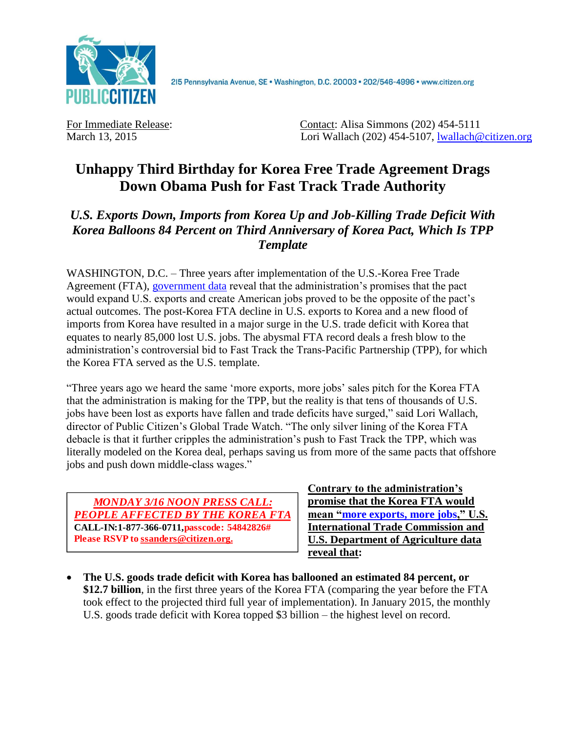

215 Pennsylvania Avenue, SE · Washington, D.C. 20003 · 202/546-4996 · www.citizen.org

For Immediate Release: Contact: Alisa Simmons (202) 454-5111 March 13, 2015 Lori Wallach (202) 454-5107, [lwallach@citizen.org](mailto:lwallach@citizen.org)

## **Unhappy Third Birthday for Korea Free Trade Agreement Drags Down Obama Push for Fast Track Trade Authority**

## *U.S. Exports Down, Imports from Korea Up and Job-Killing Trade Deficit With Korea Balloons 84 Percent on Third Anniversary of Korea Pact, Which Is TPP Template*

WASHINGTON, D.C. – Three years after implementation of the U.S.-Korea Free Trade Agreement (FTA), [government data](http://dataweb.usitc.gov/) reveal that the administration's promises that the pact would expand U.S. exports and create American jobs proved to be the opposite of the pact's actual outcomes. The post-Korea FTA decline in U.S. exports to Korea and a new flood of imports from Korea have resulted in a major surge in the U.S. trade deficit with Korea that equates to nearly 85,000 lost U.S. jobs. The abysmal FTA record deals a fresh blow to the administration's controversial bid to Fast Track the Trans-Pacific Partnership (TPP), for which the Korea FTA served as the U.S. template.

"Three years ago we heard the same 'more exports, more jobs' sales pitch for the Korea FTA that the administration is making for the TPP, but the reality is that tens of thousands of U.S. jobs have been lost as exports have fallen and trade deficits have surged," said Lori Wallach, director of Public Citizen's Global Trade Watch. "The only silver lining of the Korea FTA debacle is that it further cripples the administration's push to Fast Track the TPP, which was literally modeled on the Korea deal, perhaps saving us from more of the same pacts that offshore jobs and push down middle-class wages."



**Contrary to the administration's promise that the Korea FTA would mean ["more exports, more jobs,](http://www.ustr.gov/uskoreaFTA)" U.S. International Trade Commission and U.S. Department of Agriculture data reveal that:**

 **The U.S. goods trade deficit with Korea has ballooned an estimated 84 percent, or \$12.7 billion**, in the first three years of the Korea FTA (comparing the year before the FTA took effect to the projected third full year of implementation). In January 2015, the monthly U.S. goods trade deficit with Korea topped \$3 billion – the highest level on record.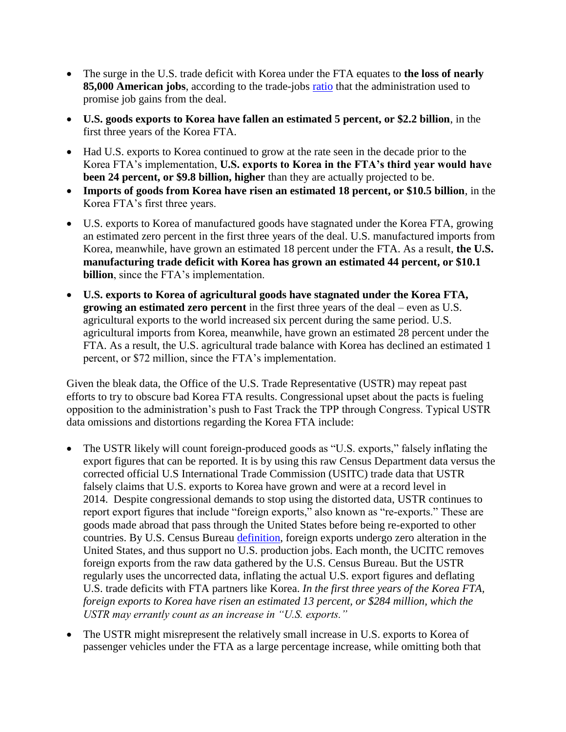- The surge in the U.S. trade deficit with Korea under the FTA equates to **the loss of nearly 85,000 American jobs**, according to the trade-jobs **ratio** that the administration used to promise job gains from the deal.
- **U.S. goods exports to Korea have fallen an estimated 5 percent, or \$2.2 billion**, in the first three years of the Korea FTA.
- Had U.S. exports to Korea continued to grow at the rate seen in the decade prior to the Korea FTA's implementation, **U.S. exports to Korea in the FTA's third year would have been 24 percent, or \$9.8 billion, higher** than they are actually projected to be.
- **Imports of goods from Korea have risen an estimated 18 percent, or \$10.5 billion**, in the Korea FTA's first three years.
- U.S. exports to Korea of manufactured goods have stagnated under the Korea FTA, growing an estimated zero percent in the first three years of the deal. U.S. manufactured imports from Korea, meanwhile, have grown an estimated 18 percent under the FTA. As a result, **the U.S. manufacturing trade deficit with Korea has grown an estimated 44 percent, or \$10.1 billion**, since the FTA's implementation.
- **U.S. exports to Korea of agricultural goods have stagnated under the Korea FTA, growing an estimated zero percent** in the first three years of the deal – even as U.S. agricultural exports to the world increased six percent during the same period. U.S. agricultural imports from Korea, meanwhile, have grown an estimated 28 percent under the FTA. As a result, the U.S. agricultural trade balance with Korea has declined an estimated 1 percent, or \$72 million, since the FTA's implementation.

Given the bleak data, the Office of the U.S. Trade Representative (USTR) may repeat past efforts to try to obscure bad Korea FTA results. Congressional upset about the pacts is fueling opposition to the administration's push to Fast Track the TPP through Congress. Typical USTR data omissions and distortions regarding the Korea FTA include:

- The USTR likely will count foreign-produced goods as "U.S. exports," falsely inflating the export figures that can be reported. It is by using this raw Census Department data versus the corrected official U.S International Trade Commission (USITC) trade data that USTR falsely claims that U.S. exports to Korea have grown and were at a record level in 2014. Despite congressional demands to stop using the distorted data, USTR continues to report export figures that include "foreign exports," also known as "re-exports." These are goods made abroad that pass through the United States before being re-exported to other countries. By U.S. Census Bureau [definition,](https://www.census.gov/foreign-trade/reference/definitions/#F) foreign exports undergo zero alteration in the United States, and thus support no U.S. production jobs. Each month, the UCITC removes foreign exports from the raw data gathered by the U.S. Census Bureau. But the USTR regularly uses the uncorrected data, inflating the actual U.S. export figures and deflating U.S. trade deficits with FTA partners like Korea. *In the first three years of the Korea FTA, foreign exports to Korea have risen an estimated 13 percent, or \$284 million, which the USTR may errantly count as an increase in "U.S. exports."*
- The USTR might misrepresent the relatively small increase in U.S. exports to Korea of passenger vehicles under the FTA as a large percentage increase, while omitting both that